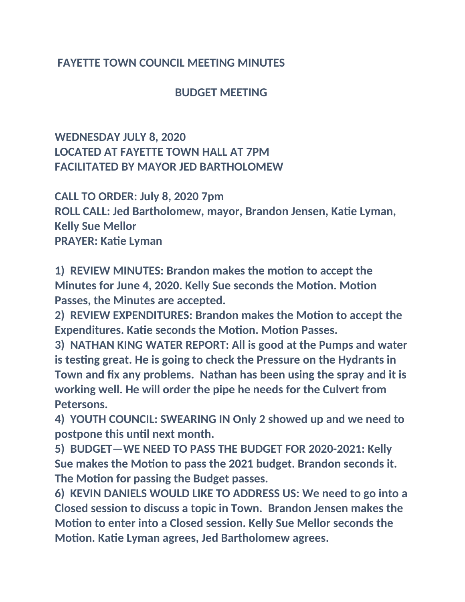## **FAYETTE TOWN COUNCIL MEETING MINUTES**

 **BUDGET MEETING**

## **WEDNESDAY JULY 8, 2020 LOCATED AT FAYETTE TOWN HALL AT 7PM FACILITATED BY MAYOR JED BARTHOLOMEW**

**CALL TO ORDER: July 8, 2020 7pm ROLL CALL: Jed Bartholomew, mayor, Brandon Jensen, Katie Lyman, Kelly Sue Mellor PRAYER: Katie Lyman**

**1) REVIEW MINUTES: Brandon makes the motion to accept the Minutes for June 4, 2020. Kelly Sue seconds the Motion. Motion Passes, the Minutes are accepted.**

**2) REVIEW EXPENDITURES: Brandon makes the Motion to accept the Expenditures. Katie seconds the Motion. Motion Passes.**

**3) NATHAN KING WATER REPORT: All is good at the Pumps and water is testing great. He is going to check the Pressure on the Hydrants in Town and fix any problems. Nathan has been using the spray and it is working well. He will order the pipe he needs for the Culvert from Petersons.**

**4) YOUTH COUNCIL: SWEARING IN Only 2 showed up and we need to postpone this until next month.**

**5) BUDGET—WE NEED TO PASS THE BUDGET FOR 2020-2021: Kelly Sue makes the Motion to pass the 2021 budget. Brandon seconds it. The Motion for passing the Budget passes.**

**6) KEVIN DANIELS WOULD LIKE TO ADDRESS US: We need to go into a Closed session to discuss a topic in Town. Brandon Jensen makes the Motion to enter into a Closed session. Kelly Sue Mellor seconds the Motion. Katie Lyman agrees, Jed Bartholomew agrees.**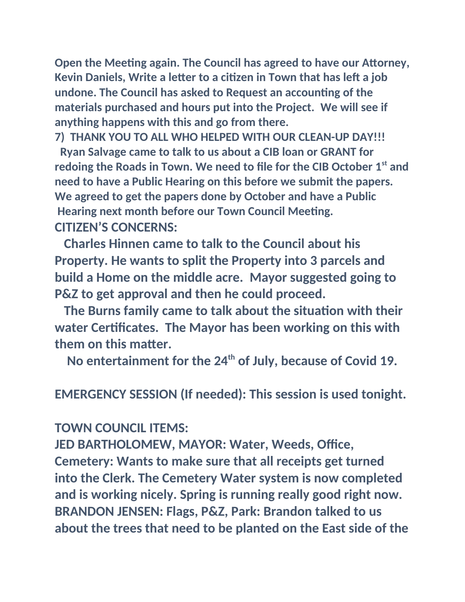**Open the Meeting again. The Council has agreed to have our Attorney, Kevin Daniels, Write a letter to a citizen in Town that has left a job undone. The Council has asked to Request an accounting of the materials purchased and hours put into the Project. We will see if anything happens with this and go from there.**

**7) THANK YOU TO ALL WHO HELPED WITH OUR CLEAN-UP DAY!!! Ryan Salvage came to talk to us about a CIB loan or GRANT for redoing the Roads in Town. We need to file for the CIB October 1st and need to have a Public Hearing on this before we submit the papers. We agreed to get the papers done by October and have a Public Hearing next month before our Town Council Meeting. CITIZEN'S CONCERNS:**

 **Charles Hinnen came to talk to the Council about his Property. He wants to split the Property into 3 parcels and build a Home on the middle acre. Mayor suggested going to P&Z to get approval and then he could proceed.**

 **The Burns family came to talk about the situation with their water Certificates. The Mayor has been working on this with them on this matter.**

 **No entertainment for the 24th of July, because of Covid 19.**

**EMERGENCY SESSION (If needed): This session is used tonight.**

## **TOWN COUNCIL ITEMS:**

**JED BARTHOLOMEW, MAYOR: Water, Weeds, Office, Cemetery: Wants to make sure that all receipts get turned into the Clerk. The Cemetery Water system is now completed and is working nicely. Spring is running really good right now. BRANDON JENSEN: Flags, P&Z, Park: Brandon talked to us about the trees that need to be planted on the East side of the**